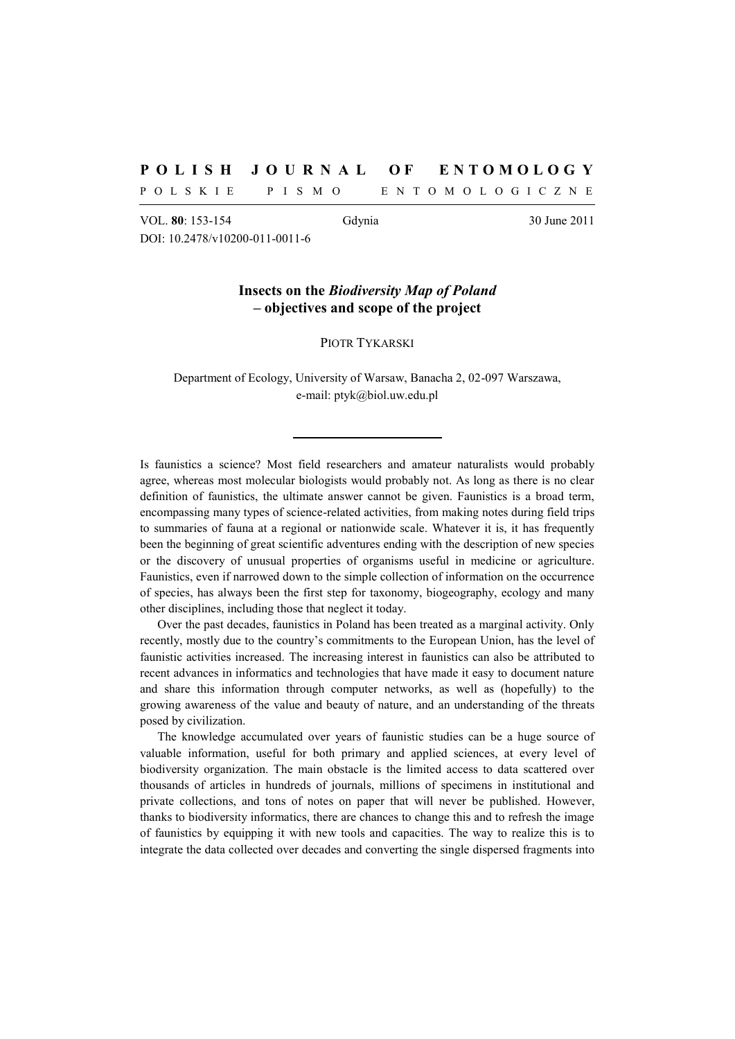## **P O L I S H J O U R N A L O F E N T O M O L O G Y**

P O L S K I E P I S M O E N T O M O L O G I C Z N E

VOL. **80**: 153-154 Gdynia 30 June 2011 DOI: 10.2478/v10200-011-0011-6

## **Insects on the** *Biodiversity Map of Poland* **– objectives and scope of the project**

PIOTR TYKARSKI

Department of Ecology, University of Warsaw, Banacha 2, 02-097 Warszawa, e-mail: ptyk@biol.uw.edu.pl

Is faunistics a science? Most field researchers and amateur naturalists would probably agree, whereas most molecular biologists would probably not. As long as there is no clear definition of faunistics, the ultimate answer cannot be given. Faunistics is a broad term, encompassing many types of science-related activities, from making notes during field trips to summaries of fauna at a regional or nationwide scale. Whatever it is, it has frequently been the beginning of great scientific adventures ending with the description of new species or the discovery of unusual properties of organisms useful in medicine or agriculture. Faunistics, even if narrowed down to the simple collection of information on the occurrence of species, has always been the first step for taxonomy, biogeography, ecology and many other disciplines, including those that neglect it today.

Over the past decades, faunistics in Poland has been treated as a marginal activity. Only recently, mostly due to the country's commitments to the European Union, has the level of faunistic activities increased. The increasing interest in faunistics can also be attributed to recent advances in informatics and technologies that have made it easy to document nature and share this information through computer networks, as well as (hopefully) to the growing awareness of the value and beauty of nature, and an understanding of the threats posed by civilization.

The knowledge accumulated over years of faunistic studies can be a huge source of valuable information, useful for both primary and applied sciences, at every level of biodiversity organization. The main obstacle is the limited access to data scattered over thousands of articles in hundreds of journals, millions of specimens in institutional and private collections, and tons of notes on paper that will never be published. However, thanks to biodiversity informatics, there are chances to change this and to refresh the image of faunistics by equipping it with new tools and capacities. The way to realize this is to integrate the data collected over decades and converting the single dispersed fragments into